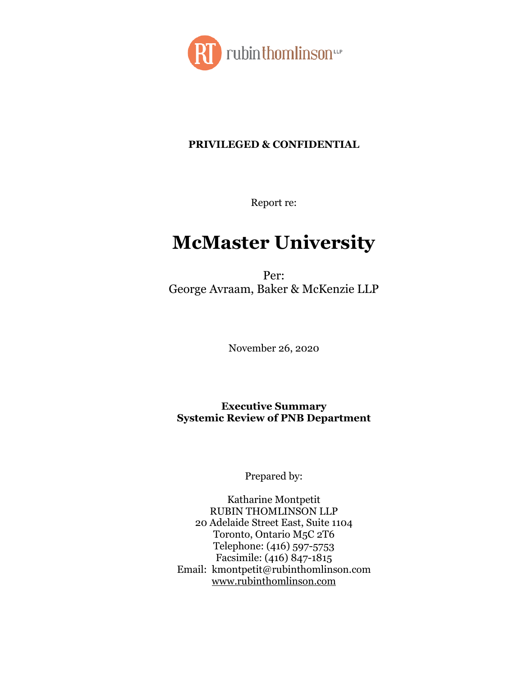

### **PRIVILEGED & CONFIDENTIAL**

Report re:

# **McMaster University**

Per: George Avraam, Baker & McKenzie LLP

November 26, 2020

**Executive Summary Systemic Review of PNB Department**

Prepared by:

Katharine Montpetit RUBIN THOMLINSON LLP 20 Adelaide Street East, Suite 1104 Toronto, Ontario M5C 2T6 Telephone: (416) 597-5753 Facsimile: (416) 847-1815 Email: kmontpetit@rubinthomlinson.com [www.rubinthomlinson.com](http://www.rubinthomlinson.com/)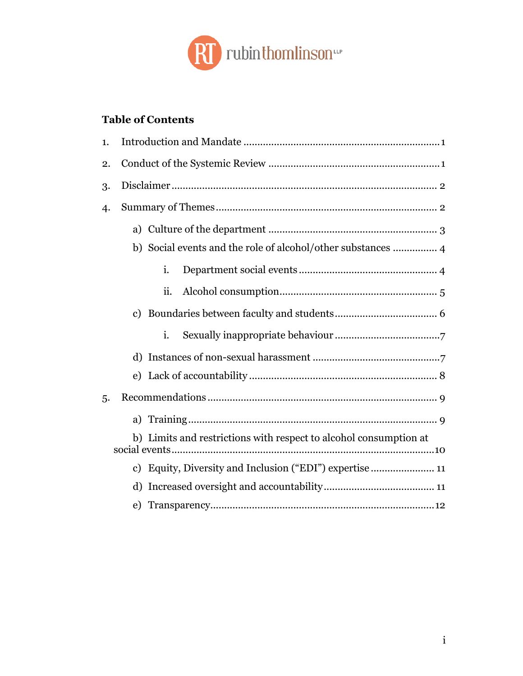

## **Table of Contents**

| 1. |  |                                                                   |  |
|----|--|-------------------------------------------------------------------|--|
| 2. |  |                                                                   |  |
| 3. |  |                                                                   |  |
| 4. |  |                                                                   |  |
|    |  |                                                                   |  |
|    |  | b) Social events and the role of alcohol/other substances  4      |  |
|    |  | i.                                                                |  |
|    |  | ii.                                                               |  |
|    |  |                                                                   |  |
|    |  | i.                                                                |  |
|    |  |                                                                   |  |
|    |  |                                                                   |  |
| 5. |  |                                                                   |  |
|    |  |                                                                   |  |
|    |  | b) Limits and restrictions with respect to alcohol consumption at |  |
|    |  | c) Equity, Diversity and Inclusion ("EDI") expertise  11          |  |
|    |  |                                                                   |  |
|    |  |                                                                   |  |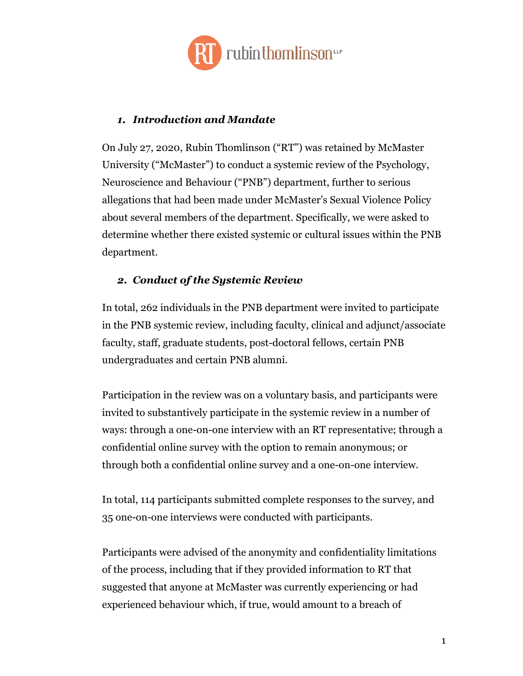

#### <span id="page-2-0"></span>*1. Introduction and Mandate*

On July 27, 2020, Rubin Thomlinson ("RT") was retained by McMaster University ("McMaster") to conduct a systemic review of the Psychology, Neuroscience and Behaviour ("PNB") department, further to serious allegations that had been made under McMaster's Sexual Violence Policy about several members of the department. Specifically, we were asked to determine whether there existed systemic or cultural issues within the PNB department.

#### <span id="page-2-1"></span>*2. Conduct of the Systemic Review*

In total, 262 individuals in the PNB department were invited to participate in the PNB systemic review, including faculty, clinical and adjunct/associate faculty, staff, graduate students, post-doctoral fellows, certain PNB undergraduates and certain PNB alumni.

Participation in the review was on a voluntary basis, and participants were invited to substantively participate in the systemic review in a number of ways: through a one-on-one interview with an RT representative; through a confidential online survey with the option to remain anonymous; or through both a confidential online survey and a one-on-one interview.

In total, 114 participants submitted complete responses to the survey, and 35 one-on-one interviews were conducted with participants.

Participants were advised of the anonymity and confidentiality limitations of the process, including that if they provided information to RT that suggested that anyone at McMaster was currently experiencing or had experienced behaviour which, if true, would amount to a breach of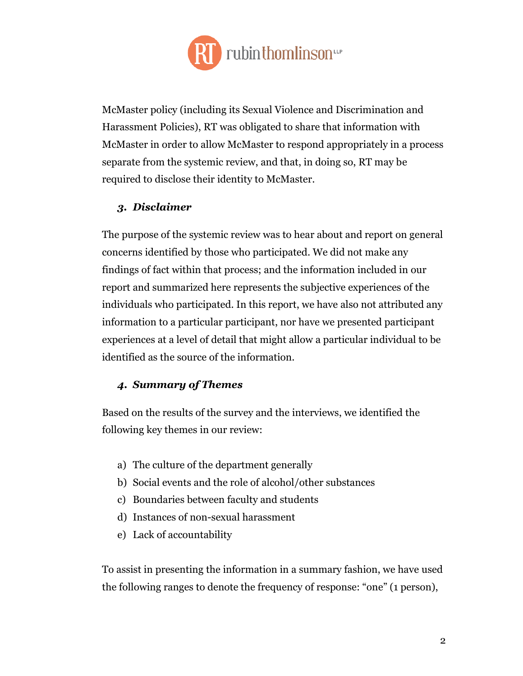

McMaster policy (including its Sexual Violence and Discrimination and Harassment Policies), RT was obligated to share that information with McMaster in order to allow McMaster to respond appropriately in a process separate from the systemic review, and that, in doing so, RT may be required to disclose their identity to McMaster.

#### <span id="page-3-0"></span>*3. Disclaimer*

The purpose of the systemic review was to hear about and report on general concerns identified by those who participated. We did not make any findings of fact within that process; and the information included in our report and summarized here represents the subjective experiences of the individuals who participated. In this report, we have also not attributed any information to a particular participant, nor have we presented participant experiences at a level of detail that might allow a particular individual to be identified as the source of the information.

#### <span id="page-3-1"></span>*4. Summary of Themes*

Based on the results of the survey and the interviews, we identified the following key themes in our review:

- a) The culture of the department generally
- b) Social events and the role of alcohol/other substances
- c) Boundaries between faculty and students
- d) Instances of non-sexual harassment
- e) Lack of accountability

To assist in presenting the information in a summary fashion, we have used the following ranges to denote the frequency of response: "one" (1 person),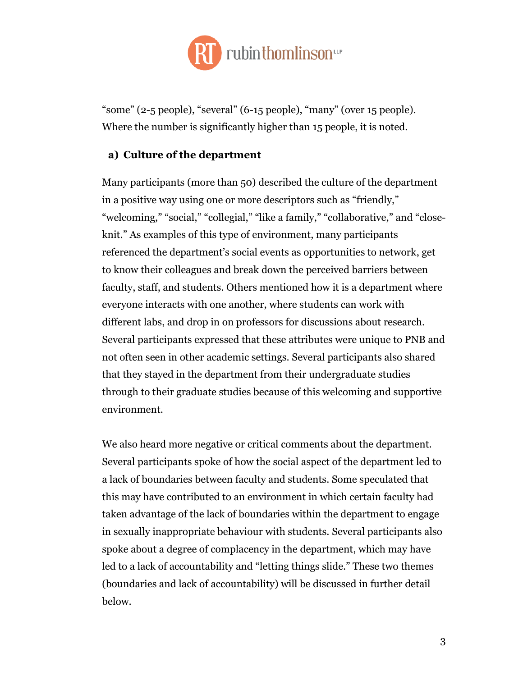

"some" (2-5 people), "several" (6-15 people), "many" (over 15 people). Where the number is significantly higher than 15 people, it is noted.

#### <span id="page-4-0"></span>**a) Culture of the department**

Many participants (more than 50) described the culture of the department in a positive way using one or more descriptors such as "friendly," "welcoming," "social," "collegial," "like a family," "collaborative," and "closeknit." As examples of this type of environment, many participants referenced the department's social events as opportunities to network, get to know their colleagues and break down the perceived barriers between faculty, staff, and students. Others mentioned how it is a department where everyone interacts with one another, where students can work with different labs, and drop in on professors for discussions about research. Several participants expressed that these attributes were unique to PNB and not often seen in other academic settings. Several participants also shared that they stayed in the department from their undergraduate studies through to their graduate studies because of this welcoming and supportive environment.

We also heard more negative or critical comments about the department. Several participants spoke of how the social aspect of the department led to a lack of boundaries between faculty and students. Some speculated that this may have contributed to an environment in which certain faculty had taken advantage of the lack of boundaries within the department to engage in sexually inappropriate behaviour with students. Several participants also spoke about a degree of complacency in the department, which may have led to a lack of accountability and "letting things slide." These two themes (boundaries and lack of accountability) will be discussed in further detail below.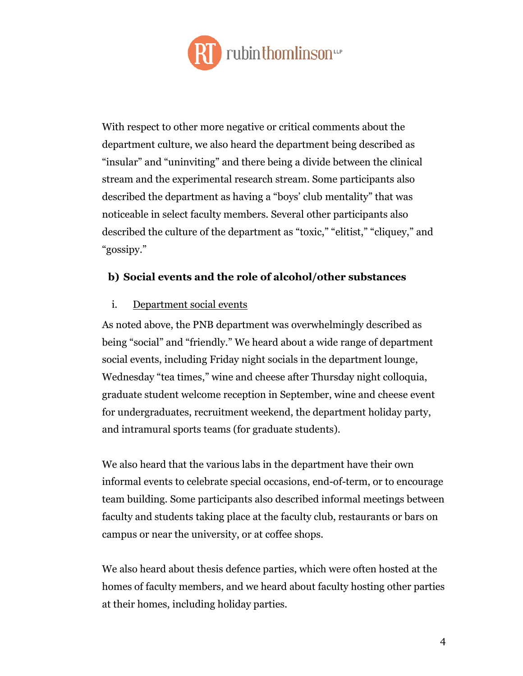

With respect to other more negative or critical comments about the department culture, we also heard the department being described as "insular" and "uninviting" and there being a divide between the clinical stream and the experimental research stream. Some participants also described the department as having a "boys' club mentality" that was noticeable in select faculty members. Several other participants also described the culture of the department as "toxic," "elitist," "cliquey," and "gossipy."

#### <span id="page-5-0"></span>**b) Social events and the role of alcohol/other substances**

#### <span id="page-5-1"></span>i. Department social events

As noted above, the PNB department was overwhelmingly described as being "social" and "friendly." We heard about a wide range of department social events, including Friday night socials in the department lounge, Wednesday "tea times," wine and cheese after Thursday night colloquia, graduate student welcome reception in September, wine and cheese event for undergraduates, recruitment weekend, the department holiday party, and intramural sports teams (for graduate students).

We also heard that the various labs in the department have their own informal events to celebrate special occasions, end-of-term, or to encourage team building. Some participants also described informal meetings between faculty and students taking place at the faculty club, restaurants or bars on campus or near the university, or at coffee shops.

We also heard about thesis defence parties, which were often hosted at the homes of faculty members, and we heard about faculty hosting other parties at their homes, including holiday parties.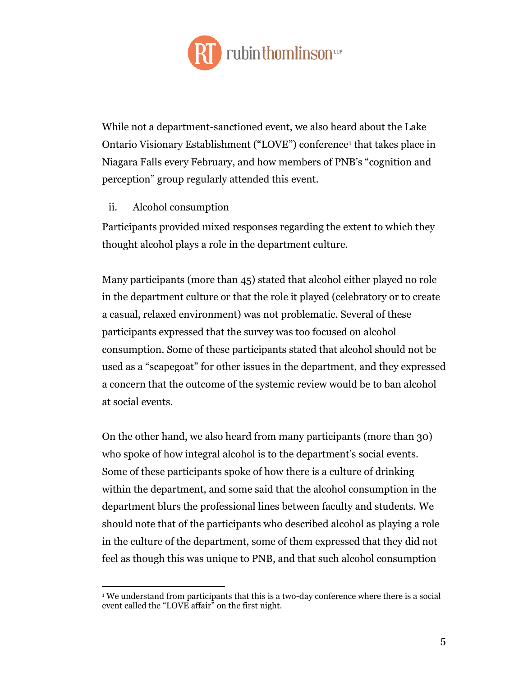

While not a department-sanctioned event, we also heard about the Lake Ontario Visionary Establishment ("LOVE") conference<sup>1</sup> that takes place in Niagara Falls every February, and how members of PNB's "cognition and perception" group regularly attended this event.

#### <span id="page-6-0"></span>ii. Alcohol consumption

 $\overline{a}$ 

Participants provided mixed responses regarding the extent to which they thought alcohol plays a role in the department culture.

Many participants (more than 45) stated that alcohol either played no role in the department culture or that the role it played (celebratory or to create a casual, relaxed environment) was not problematic. Several of these participants expressed that the survey was too focused on alcohol consumption. Some of these participants stated that alcohol should not be used as a "scapegoat" for other issues in the department, and they expressed a concern that the outcome of the systemic review would be to ban alcohol at social events.

On the other hand, we also heard from many participants (more than 30) who spoke of how integral alcohol is to the department's social events. Some of these participants spoke of how there is a culture of drinking within the department, and some said that the alcohol consumption in the department blurs the professional lines between faculty and students. We should note that of the participants who described alcohol as playing a role in the culture of the department, some of them expressed that they did not feel as though this was unique to PNB, and that such alcohol consumption

<sup>&</sup>lt;sup>1</sup> We understand from participants that this is a two-day conference where there is a social event called the "LOVE affair" on the first night.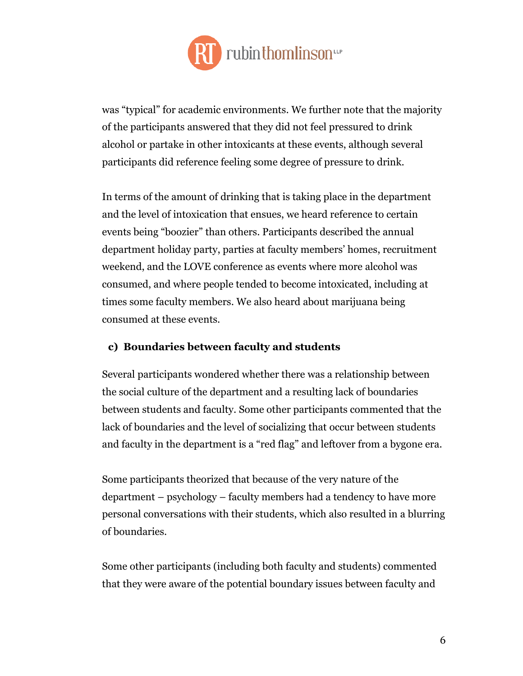

was "typical" for academic environments. We further note that the majority of the participants answered that they did not feel pressured to drink alcohol or partake in other intoxicants at these events, although several participants did reference feeling some degree of pressure to drink.

In terms of the amount of drinking that is taking place in the department and the level of intoxication that ensues, we heard reference to certain events being "boozier" than others. Participants described the annual department holiday party, parties at faculty members' homes, recruitment weekend, and the LOVE conference as events where more alcohol was consumed, and where people tended to become intoxicated, including at times some faculty members. We also heard about marijuana being consumed at these events.

#### <span id="page-7-0"></span>**c) Boundaries between faculty and students**

Several participants wondered whether there was a relationship between the social culture of the department and a resulting lack of boundaries between students and faculty. Some other participants commented that the lack of boundaries and the level of socializing that occur between students and faculty in the department is a "red flag" and leftover from a bygone era.

Some participants theorized that because of the very nature of the department – psychology – faculty members had a tendency to have more personal conversations with their students, which also resulted in a blurring of boundaries.

Some other participants (including both faculty and students) commented that they were aware of the potential boundary issues between faculty and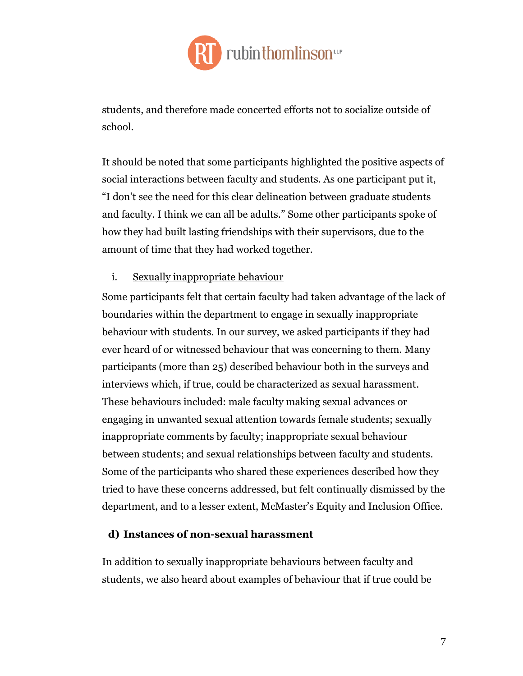

students, and therefore made concerted efforts not to socialize outside of school.

It should be noted that some participants highlighted the positive aspects of social interactions between faculty and students. As one participant put it, "I don't see the need for this clear delineation between graduate students and faculty. I think we can all be adults." Some other participants spoke of how they had built lasting friendships with their supervisors, due to the amount of time that they had worked together.

<span id="page-8-0"></span>i. Sexually inappropriate behaviour

Some participants felt that certain faculty had taken advantage of the lack of boundaries within the department to engage in sexually inappropriate behaviour with students. In our survey, we asked participants if they had ever heard of or witnessed behaviour that was concerning to them. Many participants (more than 25) described behaviour both in the surveys and interviews which, if true, could be characterized as sexual harassment. These behaviours included: male faculty making sexual advances or engaging in unwanted sexual attention towards female students; sexually inappropriate comments by faculty; inappropriate sexual behaviour between students; and sexual relationships between faculty and students. Some of the participants who shared these experiences described how they tried to have these concerns addressed, but felt continually dismissed by the department, and to a lesser extent, McMaster's Equity and Inclusion Office.

#### <span id="page-8-1"></span>**d) Instances of non-sexual harassment**

In addition to sexually inappropriate behaviours between faculty and students, we also heard about examples of behaviour that if true could be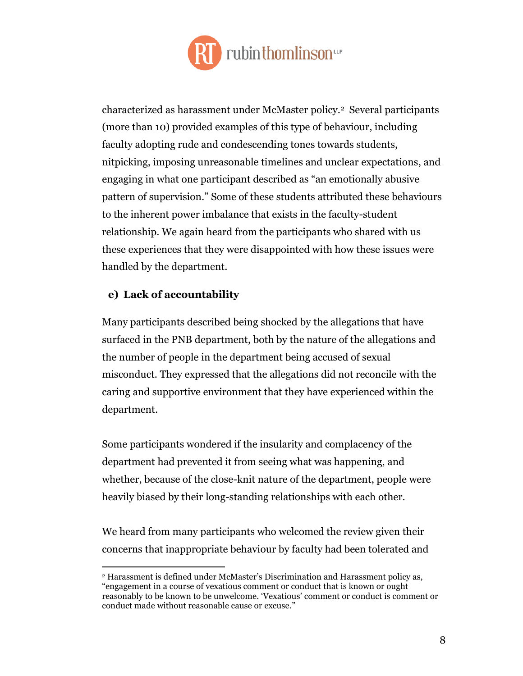

characterized as harassment under McMaster policy.<sup>2</sup> Several participants (more than 10) provided examples of this type of behaviour, including faculty adopting rude and condescending tones towards students, nitpicking, imposing unreasonable timelines and unclear expectations, and engaging in what one participant described as "an emotionally abusive pattern of supervision." Some of these students attributed these behaviours to the inherent power imbalance that exists in the faculty-student relationship. We again heard from the participants who shared with us these experiences that they were disappointed with how these issues were handled by the department.

#### <span id="page-9-0"></span>**e) Lack of accountability**

 $\overline{a}$ 

Many participants described being shocked by the allegations that have surfaced in the PNB department, both by the nature of the allegations and the number of people in the department being accused of sexual misconduct. They expressed that the allegations did not reconcile with the caring and supportive environment that they have experienced within the department.

Some participants wondered if the insularity and complacency of the department had prevented it from seeing what was happening, and whether, because of the close-knit nature of the department, people were heavily biased by their long-standing relationships with each other.

We heard from many participants who welcomed the review given their concerns that inappropriate behaviour by faculty had been tolerated and

<sup>2</sup> Harassment is defined under McMaster's Discrimination and Harassment policy as, "engagement in a course of vexatious comment or conduct that is known or ought reasonably to be known to be unwelcome. 'Vexatious' comment or conduct is comment or conduct made without reasonable cause or excuse."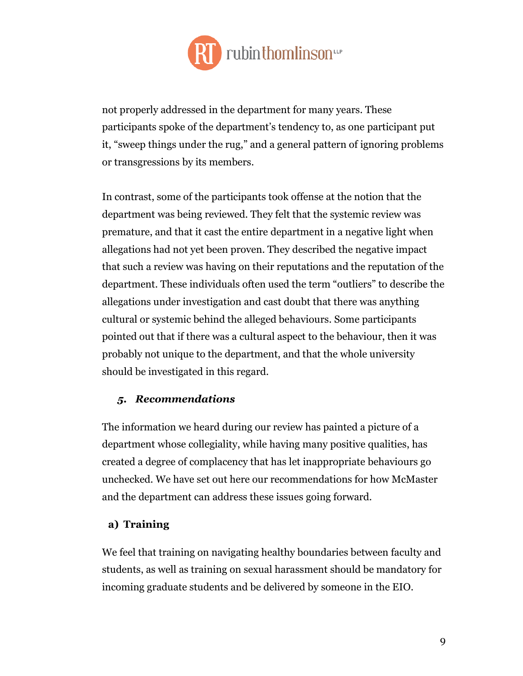

not properly addressed in the department for many years. These participants spoke of the department's tendency to, as one participant put it, "sweep things under the rug," and a general pattern of ignoring problems or transgressions by its members.

In contrast, some of the participants took offense at the notion that the department was being reviewed. They felt that the systemic review was premature, and that it cast the entire department in a negative light when allegations had not yet been proven. They described the negative impact that such a review was having on their reputations and the reputation of the department. These individuals often used the term "outliers" to describe the allegations under investigation and cast doubt that there was anything cultural or systemic behind the alleged behaviours. Some participants pointed out that if there was a cultural aspect to the behaviour, then it was probably not unique to the department, and that the whole university should be investigated in this regard.

#### <span id="page-10-0"></span>*5. Recommendations*

The information we heard during our review has painted a picture of a department whose collegiality, while having many positive qualities, has created a degree of complacency that has let inappropriate behaviours go unchecked. We have set out here our recommendations for how McMaster and the department can address these issues going forward.

#### <span id="page-10-1"></span>**a) Training**

We feel that training on navigating healthy boundaries between faculty and students, as well as training on sexual harassment should be mandatory for incoming graduate students and be delivered by someone in the EIO.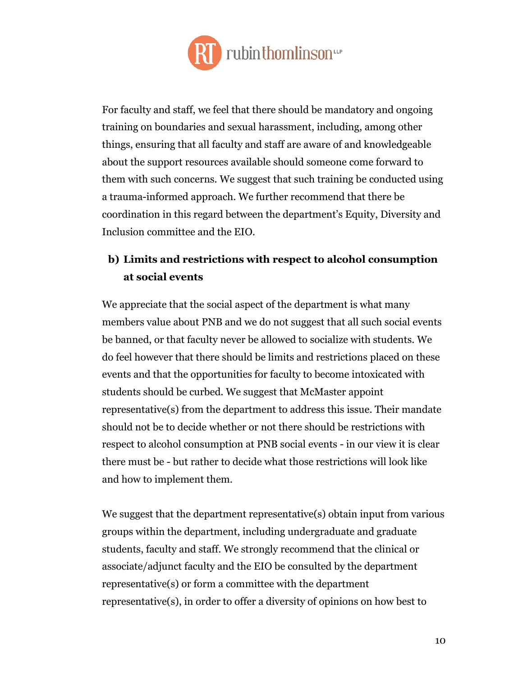

For faculty and staff, we feel that there should be mandatory and ongoing training on boundaries and sexual harassment, including, among other things, ensuring that all faculty and staff are aware of and knowledgeable about the support resources available should someone come forward to them with such concerns. We suggest that such training be conducted using a trauma-informed approach. We further recommend that there be coordination in this regard between the department's Equity, Diversity and Inclusion committee and the EIO.

# <span id="page-11-0"></span>**b) Limits and restrictions with respect to alcohol consumption at social events**

We appreciate that the social aspect of the department is what many members value about PNB and we do not suggest that all such social events be banned, or that faculty never be allowed to socialize with students. We do feel however that there should be limits and restrictions placed on these events and that the opportunities for faculty to become intoxicated with students should be curbed. We suggest that McMaster appoint representative(s) from the department to address this issue. Their mandate should not be to decide whether or not there should be restrictions with respect to alcohol consumption at PNB social events - in our view it is clear there must be - but rather to decide what those restrictions will look like and how to implement them.

We suggest that the department representative(s) obtain input from various groups within the department, including undergraduate and graduate students, faculty and staff. We strongly recommend that the clinical or associate/adjunct faculty and the EIO be consulted by the department representative(s) or form a committee with the department representative(s), in order to offer a diversity of opinions on how best to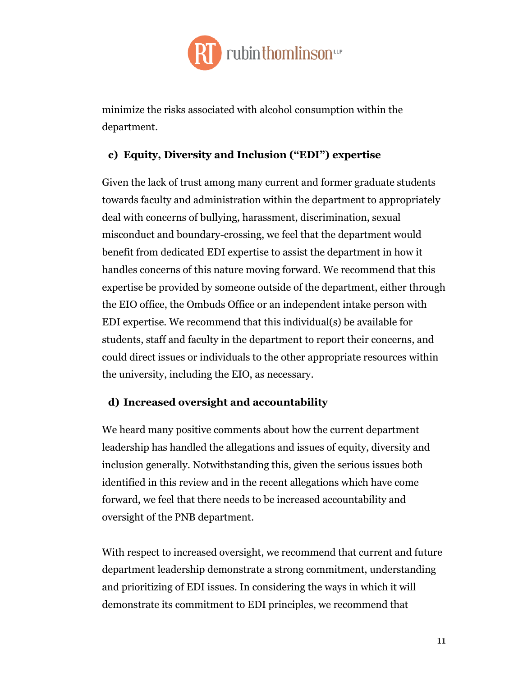

minimize the risks associated with alcohol consumption within the department.

#### <span id="page-12-0"></span>**c) Equity, Diversity and Inclusion ("EDI") expertise**

Given the lack of trust among many current and former graduate students towards faculty and administration within the department to appropriately deal with concerns of bullying, harassment, discrimination, sexual misconduct and boundary-crossing, we feel that the department would benefit from dedicated EDI expertise to assist the department in how it handles concerns of this nature moving forward. We recommend that this expertise be provided by someone outside of the department, either through the EIO office, the Ombuds Office or an independent intake person with EDI expertise. We recommend that this individual(s) be available for students, staff and faculty in the department to report their concerns, and could direct issues or individuals to the other appropriate resources within the university, including the EIO, as necessary.

#### <span id="page-12-1"></span>**d) Increased oversight and accountability**

We heard many positive comments about how the current department leadership has handled the allegations and issues of equity, diversity and inclusion generally. Notwithstanding this, given the serious issues both identified in this review and in the recent allegations which have come forward, we feel that there needs to be increased accountability and oversight of the PNB department.

With respect to increased oversight, we recommend that current and future department leadership demonstrate a strong commitment, understanding and prioritizing of EDI issues. In considering the ways in which it will demonstrate its commitment to EDI principles, we recommend that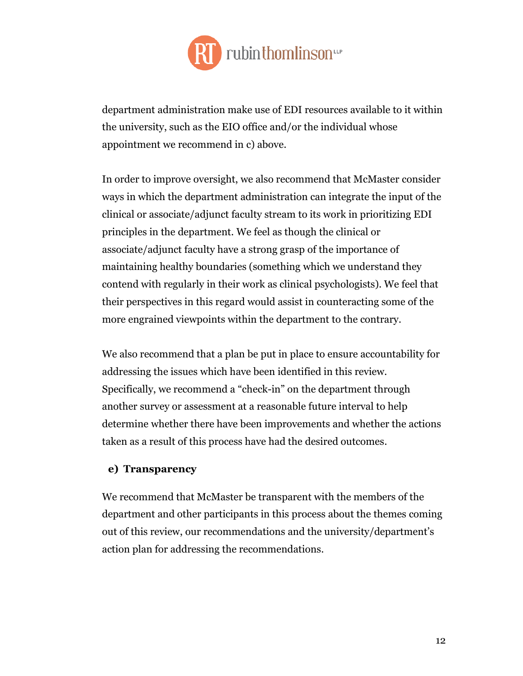

department administration make use of EDI resources available to it within the university, such as the EIO office and/or the individual whose appointment we recommend in c) above.

In order to improve oversight, we also recommend that McMaster consider ways in which the department administration can integrate the input of the clinical or associate/adjunct faculty stream to its work in prioritizing EDI principles in the department. We feel as though the clinical or associate/adjunct faculty have a strong grasp of the importance of maintaining healthy boundaries (something which we understand they contend with regularly in their work as clinical psychologists). We feel that their perspectives in this regard would assist in counteracting some of the more engrained viewpoints within the department to the contrary.

We also recommend that a plan be put in place to ensure accountability for addressing the issues which have been identified in this review. Specifically, we recommend a "check-in" on the department through another survey or assessment at a reasonable future interval to help determine whether there have been improvements and whether the actions taken as a result of this process have had the desired outcomes.

#### <span id="page-13-0"></span>**e) Transparency**

We recommend that McMaster be transparent with the members of the department and other participants in this process about the themes coming out of this review, our recommendations and the university/department's action plan for addressing the recommendations.